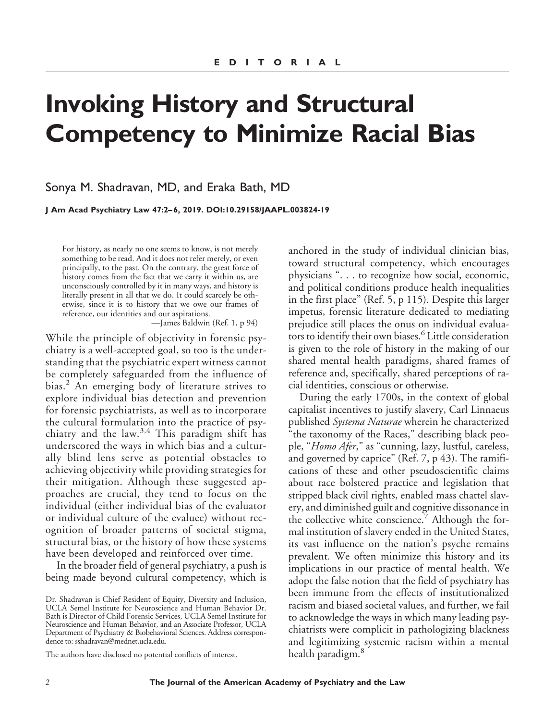# **Invoking History and Structural Competency to Minimize Racial Bias**

Sonya M. Shadravan, MD, and Eraka Bath, MD

**J Am Acad Psychiatry Law 47:2– 6, 2019. DOI:10.29158/JAAPL.003824-19**

For history, as nearly no one seems to know, is not merely something to be read. And it does not refer merely, or even principally, to the past. On the contrary, the great force of history comes from the fact that we carry it within us, are unconsciously controlled by it in many ways, and history is literally present in all that we do. It could scarcely be otherwise, since it is to history that we owe our frames of reference, our identities and our aspirations.

—James Baldwin (Ref. 1, p 94)

While the principle of objectivity in forensic psychiatry is a well-accepted goal, so too is the understanding that the psychiatric expert witness cannot be completely safeguarded from the influence of bias.<sup>2</sup> An emerging body of literature strives to explore individual bias detection and prevention for forensic psychiatrists, as well as to incorporate the cultural formulation into the practice of psychiatry and the law.<sup>3,4</sup> This paradigm shift has underscored the ways in which bias and a culturally blind lens serve as potential obstacles to achieving objectivity while providing strategies for their mitigation. Although these suggested approaches are crucial, they tend to focus on the individual (either individual bias of the evaluator or individual culture of the evaluee) without recognition of broader patterns of societal stigma, structural bias, or the history of how these systems have been developed and reinforced over time.

In the broader field of general psychiatry, a push is being made beyond cultural competency, which is

anchored in the study of individual clinician bias, toward structural competency, which encourages physicians ". . . to recognize how social, economic, and political conditions produce health inequalities in the first place" (Ref. 5, p 115). Despite this larger impetus, forensic literature dedicated to mediating prejudice still places the onus on individual evaluators to identify their own biases.<sup>6</sup> Little consideration is given to the role of history in the making of our shared mental health paradigms, shared frames of reference and, specifically, shared perceptions of racial identities, conscious or otherwise.

During the early 1700s, in the context of global capitalist incentives to justify slavery, Carl Linnaeus published *Systema Naturae* wherein he characterized "the taxonomy of the Races," describing black people, "*Homo Afer*," as "cunning, lazy, lustful, careless, and governed by caprice" (Ref. 7, p 43). The ramifications of these and other pseudoscientific claims about race bolstered practice and legislation that stripped black civil rights, enabled mass chattel slavery, and diminished guilt and cognitive dissonance in the collective white conscience. Although the formal institution of slavery ended in the United States, its vast influence on the nation's psyche remains prevalent. We often minimize this history and its implications in our practice of mental health. We adopt the false notion that the field of psychiatry has been immune from the effects of institutionalized racism and biased societal values, and further, we fail to acknowledge the ways in which many leading psychiatrists were complicit in pathologizing blackness and legitimizing systemic racism within a mental health paradigm.<sup>8</sup>

Dr. Shadravan is Chief Resident of Equity, Diversity and Inclusion, UCLA Semel Institute for Neuroscience and Human Behavior Dr. Bath is Director of Child Forensic Services, UCLA Semel Institute for Neuroscience and Human Behavior, and an Associate Professor, UCLA Department of Psychiatry & Biobehavioral Sciences. Address correspondence to: [sshadravan@mednet.ucla.edu.](mailto:sshadravanmednet.ucla.edu)

The authors have disclosed no potential conflicts of interest.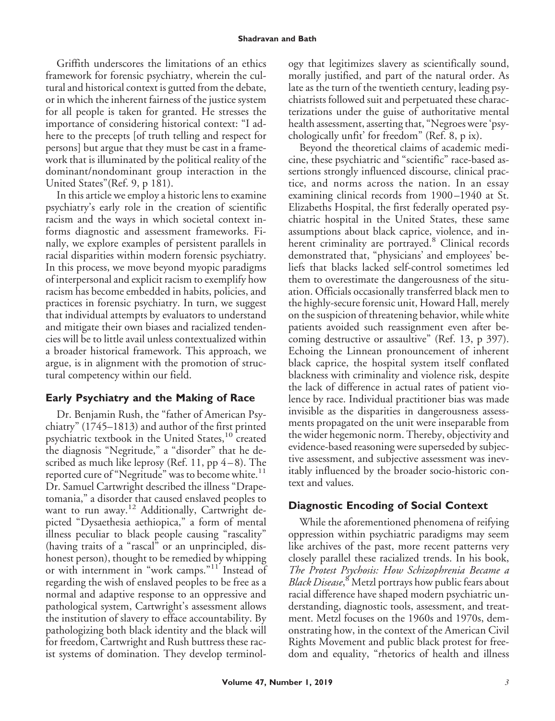#### **Shadravan and Bath**

Griffith underscores the limitations of an ethics framework for forensic psychiatry, wherein the cultural and historical context is gutted from the debate, or in which the inherent fairness of the justice system for all people is taken for granted. He stresses the importance of considering historical context: "I adhere to the precepts [of truth telling and respect for persons] but argue that they must be cast in a framework that is illuminated by the political reality of the dominant/nondominant group interaction in the United States"(Ref. 9, p 181).

In this article we employ a historic lens to examine psychiatry's early role in the creation of scientific racism and the ways in which societal context informs diagnostic and assessment frameworks. Finally, we explore examples of persistent parallels in racial disparities within modern forensic psychiatry. In this process, we move beyond myopic paradigms of interpersonal and explicit racism to exemplify how racism has become embedded in habits, policies, and practices in forensic psychiatry. In turn, we suggest that individual attempts by evaluators to understand and mitigate their own biases and racialized tendencies will be to little avail unless contextualized within a broader historical framework. This approach, we argue, is in alignment with the promotion of structural competency within our field.

## **Early Psychiatry and the Making of Race**

Dr. Benjamin Rush, the "father of American Psychiatry" (1745–1813) and author of the first printed psychiatric textbook in the United States,<sup>10</sup> created the diagnosis "Negritude," a "disorder" that he described as much like leprosy (Ref. 11, pp  $4-8$ ). The reported cure of "Negritude" was to become white.<sup>11</sup> Dr. Samuel Cartwright described the illness "Drapetomania," a disorder that caused enslaved peoples to want to run away.<sup>12</sup> Additionally, Cartwright depicted "Dysaethesia aethiopica," a form of mental illness peculiar to black people causing "rascality" (having traits of a "rascal" or an unprincipled, dishonest person), thought to be remedied by whipping or with internment in "work camps."<sup>11</sup> Instead of regarding the wish of enslaved peoples to be free as a normal and adaptive response to an oppressive and pathological system, Cartwright's assessment allows the institution of slavery to efface accountability. By pathologizing both black identity and the black will for freedom, Cartwright and Rush buttress these racist systems of domination. They develop terminology that legitimizes slavery as scientifically sound, morally justified, and part of the natural order. As late as the turn of the twentieth century, leading psychiatrists followed suit and perpetuated these characterizations under the guise of authoritative mental health assessment, asserting that, "Negroes were 'psychologically unfit' for freedom" (Ref. 8, p ix).

Beyond the theoretical claims of academic medicine, these psychiatric and "scientific" race-based assertions strongly influenced discourse, clinical practice, and norms across the nation. In an essay examining clinical records from 1900 –1940 at St. Elizabeths Hospital, the first federally operated psychiatric hospital in the United States, these same assumptions about black caprice, violence, and inherent criminality are portrayed.<sup>8</sup> Clinical records demonstrated that, "physicians' and employees' beliefs that blacks lacked self-control sometimes led them to overestimate the dangerousness of the situation. Officials occasionally transferred black men to the highly-secure forensic unit, Howard Hall, merely on the suspicion of threatening behavior, while white patients avoided such reassignment even after becoming destructive or assaultive" (Ref. 13, p 397). Echoing the Linnean pronouncement of inherent black caprice, the hospital system itself conflated blackness with criminality and violence risk, despite the lack of difference in actual rates of patient violence by race. Individual practitioner bias was made invisible as the disparities in dangerousness assessments propagated on the unit were inseparable from the wider hegemonic norm. Thereby, objectivity and evidence-based reasoning were superseded by subjective assessment, and subjective assessment was inevitably influenced by the broader socio-historic context and values.

# **Diagnostic Encoding of Social Context**

While the aforementioned phenomena of reifying oppression within psychiatric paradigms may seem like archives of the past, more recent patterns very closely parallel these racialized trends. In his book, *The Protest Psychosis: How Schizophrenia Became a Black Disease*, <sup>8</sup> Metzl portrays how public fears about racial difference have shaped modern psychiatric understanding, diagnostic tools, assessment, and treatment. Metzl focuses on the 1960s and 1970s, demonstrating how, in the context of the American Civil Rights Movement and public black protest for freedom and equality, "rhetorics of health and illness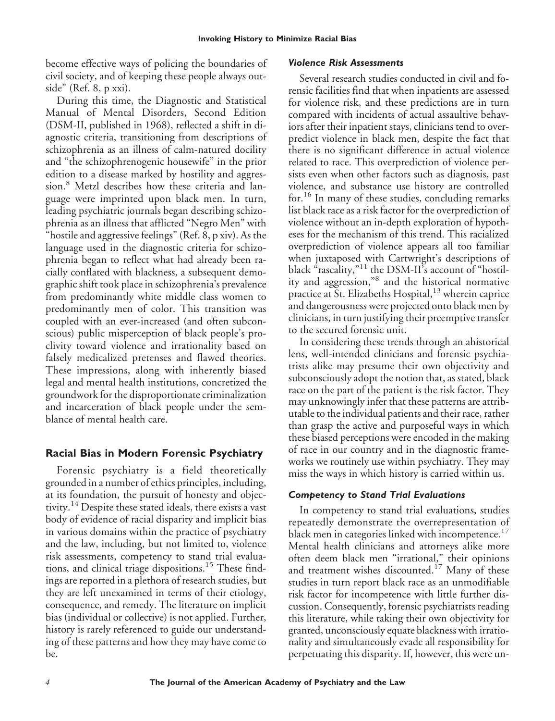become effective ways of policing the boundaries of civil society, and of keeping these people always outside" (Ref. 8, p xxi).

During this time, the Diagnostic and Statistical Manual of Mental Disorders, Second Edition (DSM-II, published in 1968), reflected a shift in diagnostic criteria, transitioning from descriptions of schizophrenia as an illness of calm-natured docility and "the schizophrenogenic housewife" in the prior edition to a disease marked by hostility and aggression.<sup>8</sup> Metzl describes how these criteria and language were imprinted upon black men. In turn, leading psychiatric journals began describing schizophrenia as an illness that afflicted "Negro Men" with "hostile and aggressive feelings" (Ref. 8, p xiv). As the language used in the diagnostic criteria for schizophrenia began to reflect what had already been racially conflated with blackness, a subsequent demographic shift took place in schizophrenia's prevalence from predominantly white middle class women to predominantly men of color. This transition was coupled with an ever-increased (and often subconscious) public misperception of black people's proclivity toward violence and irrationality based on falsely medicalized pretenses and flawed theories. These impressions, along with inherently biased legal and mental health institutions, concretized the groundwork for the disproportionate criminalization and incarceration of black people under the semblance of mental health care.

## **Racial Bias in Modern Forensic Psychiatry**

Forensic psychiatry is a field theoretically grounded in a number of ethics principles, including, at its foundation, the pursuit of honesty and objectivity.<sup>14</sup> Despite these stated ideals, there exists a vast body of evidence of racial disparity and implicit bias in various domains within the practice of psychiatry and the law, including, but not limited to, violence risk assessments, competency to stand trial evaluations, and clinical triage dispositions.<sup>15</sup> These findings are reported in a plethora of research studies, but they are left unexamined in terms of their etiology, consequence, and remedy. The literature on implicit bias (individual or collective) is not applied. Further, history is rarely referenced to guide our understanding of these patterns and how they may have come to be.

#### *Violence Risk Assessments*

Several research studies conducted in civil and forensic facilities find that when inpatients are assessed for violence risk, and these predictions are in turn compared with incidents of actual assaultive behaviors after their inpatient stays, clinicians tend to overpredict violence in black men, despite the fact that there is no significant difference in actual violence related to race. This overprediction of violence persists even when other factors such as diagnosis, past violence, and substance use history are controlled for.<sup>16</sup> In many of these studies, concluding remarks list black race as a risk factor for the overprediction of violence without an in-depth exploration of hypotheses for the mechanism of this trend. This racialized overprediction of violence appears all too familiar when juxtaposed with Cartwright's descriptions of black "rascality,"<sup>11</sup> the DSM-II's account of "hostility and aggression,"<sup>8</sup> and the historical normative practice at  $\overline{S}$ t. Elizabeths Hospital,  $^{13}$  wherein caprice and dangerousness were projected onto black men by clinicians, in turn justifying their preemptive transfer to the secured forensic unit.

In considering these trends through an ahistorical lens, well-intended clinicians and forensic psychiatrists alike may presume their own objectivity and subconsciously adopt the notion that, as stated, black race on the part of the patient is the risk factor. They may unknowingly infer that these patterns are attributable to the individual patients and their race, rather than grasp the active and purposeful ways in which these biased perceptions were encoded in the making of race in our country and in the diagnostic frameworks we routinely use within psychiatry. They may miss the ways in which history is carried within us.

### *Competency to Stand Trial Evaluations*

In competency to stand trial evaluations, studies repeatedly demonstrate the overrepresentation of black men in categories linked with incompetence. $^{17}$ Mental health clinicians and attorneys alike more often deem black men "irrational," their opinions and treatment wishes discounted.<sup>17</sup> Many of these studies in turn report black race as an unmodifiable risk factor for incompetence with little further discussion. Consequently, forensic psychiatrists reading this literature, while taking their own objectivity for granted, unconsciously equate blackness with irrationality and simultaneously evade all responsibility for perpetuating this disparity. If, however, this were un-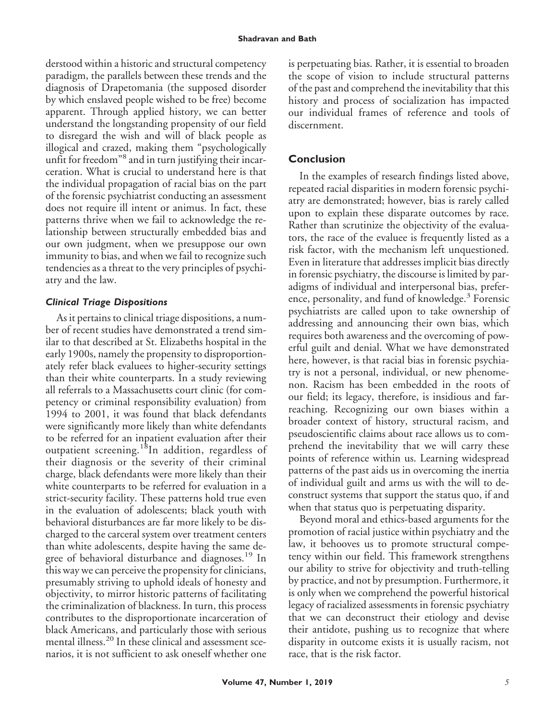derstood within a historic and structural competency paradigm, the parallels between these trends and the diagnosis of Drapetomania (the supposed disorder by which enslaved people wished to be free) become apparent. Through applied history, we can better understand the longstanding propensity of our field to disregard the wish and will of black people as illogical and crazed, making them "psychologically unfit for freedom"<sup>8</sup> and in turn justifying their incarceration. What is crucial to understand here is that the individual propagation of racial bias on the part of the forensic psychiatrist conducting an assessment does not require ill intent or animus. In fact, these patterns thrive when we fail to acknowledge the relationship between structurally embedded bias and our own judgment, when we presuppose our own immunity to bias, and when we fail to recognize such tendencies as a threat to the very principles of psychiatry and the law.

### *Clinical Triage Dispositions*

As it pertains to clinical triage dispositions, a number of recent studies have demonstrated a trend similar to that described at St. Elizabeths hospital in the early 1900s, namely the propensity to disproportionately refer black evaluees to higher-security settings than their white counterparts. In a study reviewing all referrals to a Massachusetts court clinic (for competency or criminal responsibility evaluation) from 1994 to 2001, it was found that black defendants were significantly more likely than white defendants to be referred for an inpatient evaluation after their outpatient screening.<sup>18</sup>In addition, regardless of their diagnosis or the severity of their criminal charge, black defendants were more likely than their white counterparts to be referred for evaluation in a strict-security facility. These patterns hold true even in the evaluation of adolescents; black youth with behavioral disturbances are far more likely to be discharged to the carceral system over treatment centers than white adolescents, despite having the same degree of behavioral disturbance and diagnoses.<sup>19</sup> In this way we can perceive the propensity for clinicians, presumably striving to uphold ideals of honesty and objectivity, to mirror historic patterns of facilitating the criminalization of blackness. In turn, this process contributes to the disproportionate incarceration of black Americans, and particularly those with serious mental illness.<sup>20</sup> In these clinical and assessment scenarios, it is not sufficient to ask oneself whether one is perpetuating bias. Rather, it is essential to broaden the scope of vision to include structural patterns of the past and comprehend the inevitability that this history and process of socialization has impacted our individual frames of reference and tools of discernment.

# **Conclusion**

In the examples of research findings listed above, repeated racial disparities in modern forensic psychiatry are demonstrated; however, bias is rarely called upon to explain these disparate outcomes by race. Rather than scrutinize the objectivity of the evaluators, the race of the evaluee is frequently listed as a risk factor, with the mechanism left unquestioned. Even in literature that addresses implicit bias directly in forensic psychiatry, the discourse is limited by paradigms of individual and interpersonal bias, preference, personality, and fund of knowledge.<sup>3</sup> Forensic psychiatrists are called upon to take ownership of addressing and announcing their own bias, which requires both awareness and the overcoming of powerful guilt and denial. What we have demonstrated here, however, is that racial bias in forensic psychiatry is not a personal, individual, or new phenomenon. Racism has been embedded in the roots of our field; its legacy, therefore, is insidious and farreaching. Recognizing our own biases within a broader context of history, structural racism, and pseudoscientific claims about race allows us to comprehend the inevitability that we will carry these points of reference within us. Learning widespread patterns of the past aids us in overcoming the inertia of individual guilt and arms us with the will to deconstruct systems that support the status quo, if and when that status quo is perpetuating disparity.

Beyond moral and ethics-based arguments for the promotion of racial justice within psychiatry and the law, it behooves us to promote structural competency within our field. This framework strengthens our ability to strive for objectivity and truth-telling by practice, and not by presumption. Furthermore, it is only when we comprehend the powerful historical legacy of racialized assessments in forensic psychiatry that we can deconstruct their etiology and devise their antidote, pushing us to recognize that where disparity in outcome exists it is usually racism, not race, that is the risk factor.